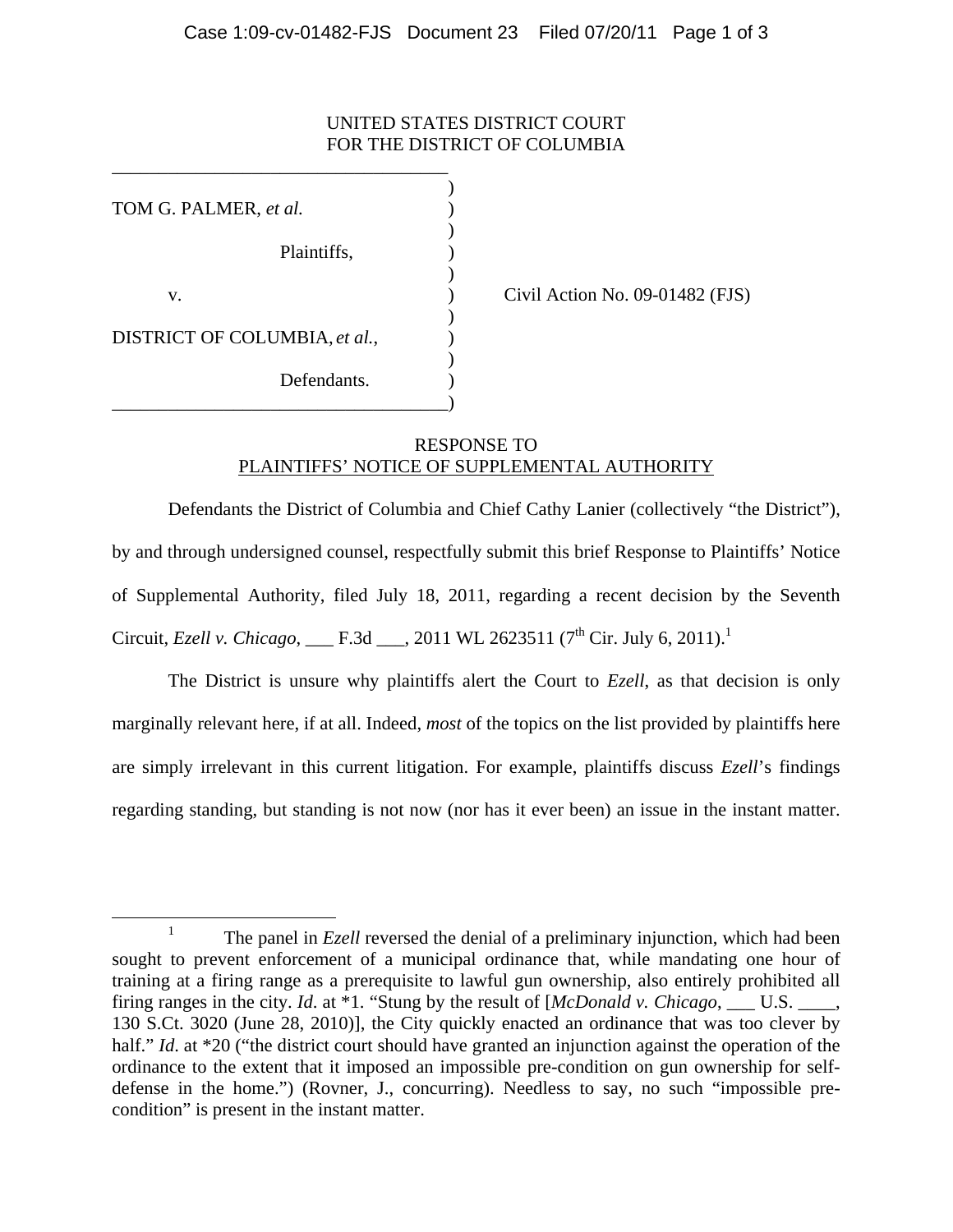## UNITED STATES DISTRICT COURT FOR THE DISTRICT OF COLUMBIA

 $)$ TOM G. PALMER, *et al.* )  $\overline{\phantom{a}}$ Plaintiffs, )  $\overline{\phantom{a}}$ v. **(a)** Civil Action No. 09-01482 (FJS)  $\overline{\phantom{a}}$ DISTRICT OF COLUMBIA, *et al.*,  $\qquad)$  $\overline{\phantom{a}}$ Defendants. \_\_\_\_\_\_\_\_\_\_\_\_\_\_\_\_\_\_\_\_\_\_\_\_\_\_\_\_\_\_\_\_\_\_\_\_)

\_\_\_\_\_\_\_\_\_\_\_\_\_\_\_\_\_\_\_\_\_\_\_\_\_\_\_\_\_\_\_\_\_\_\_\_

## RESPONSE TO PLAINTIFFS' NOTICE OF SUPPLEMENTAL AUTHORITY

Defendants the District of Columbia and Chief Cathy Lanier (collectively "the District"), by and through undersigned counsel, respectfully submit this brief Response to Plaintiffs' Notice of Supplemental Authority, filed July 18, 2011, regarding a recent decision by the Seventh Circuit, *Ezell v. Chicago*, F.3d . 2011 WL 2623511 (7<sup>th</sup> Cir. July 6, 2011).<sup>1</sup>

The District is unsure why plaintiffs alert the Court to *Ezell*, as that decision is only marginally relevant here, if at all. Indeed, *most* of the topics on the list provided by plaintiffs here are simply irrelevant in this current litigation. For example, plaintiffs discuss *Ezell*'s findings regarding standing, but standing is not now (nor has it ever been) an issue in the instant matter.

<sup>&</sup>lt;u>1</u> <sup>1</sup> The panel in *Ezell* reversed the denial of a preliminary injunction, which had been sought to prevent enforcement of a municipal ordinance that, while mandating one hour of training at a firing range as a prerequisite to lawful gun ownership, also entirely prohibited all firing ranges in the city. *Id*. at \*1. "Stung by the result of [*McDonald v. Chicago*, \_\_\_ U.S. \_\_\_\_, 130 S.Ct. 3020 (June 28, 2010)], the City quickly enacted an ordinance that was too clever by half." *Id.* at \*20 ("the district court should have granted an injunction against the operation of the ordinance to the extent that it imposed an impossible pre-condition on gun ownership for selfdefense in the home.") (Rovner, J., concurring). Needless to say, no such "impossible precondition" is present in the instant matter.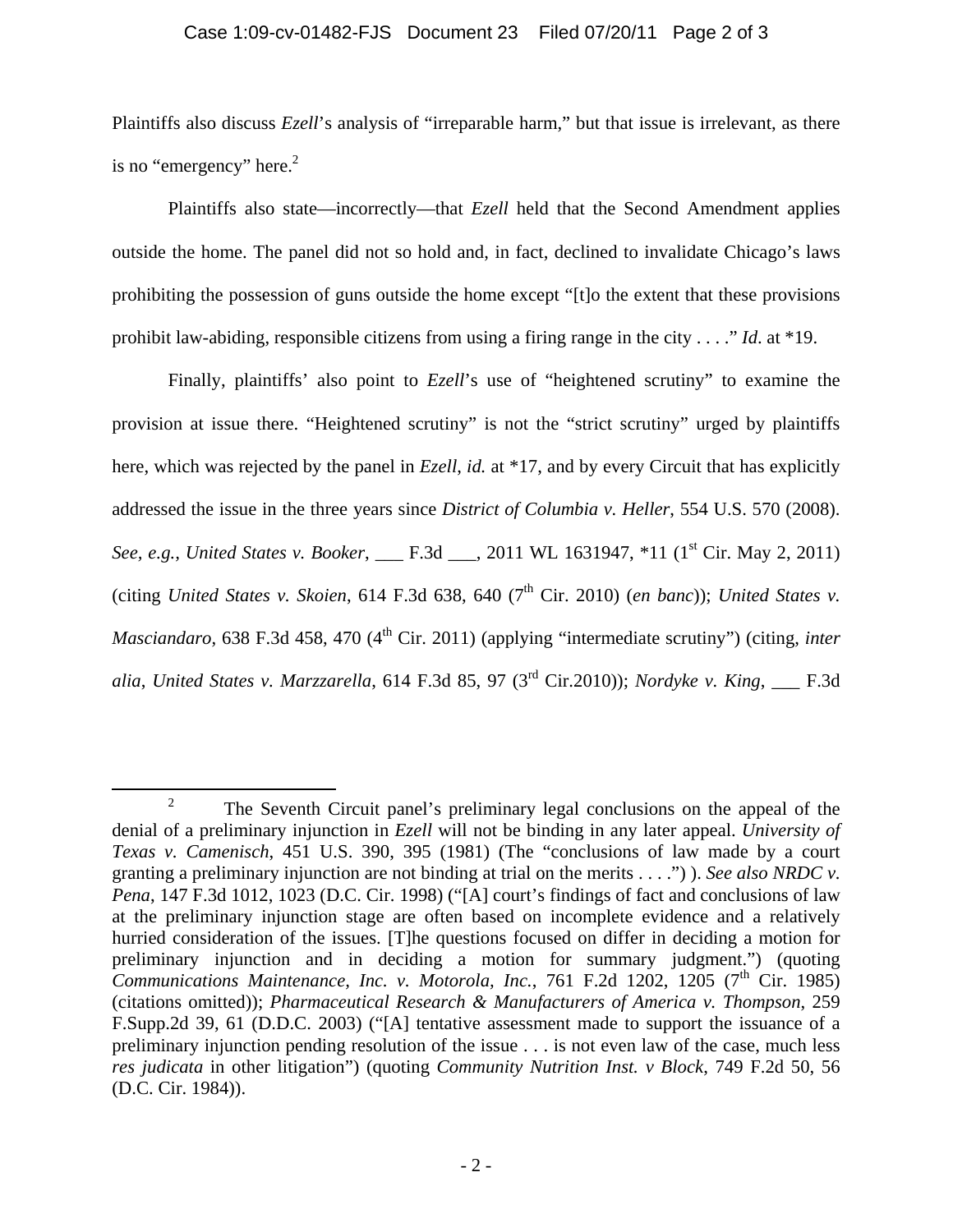## Case 1:09-cv-01482-FJS Document 23 Filed 07/20/11 Page 2 of 3

Plaintiffs also discuss *Ezell*'s analysis of "irreparable harm," but that issue is irrelevant, as there is no "emergency" here. $2$ 

Plaintiffs also state—incorrectly—that *Ezell* held that the Second Amendment applies outside the home. The panel did not so hold and, in fact, declined to invalidate Chicago's laws prohibiting the possession of guns outside the home except "[t]o the extent that these provisions prohibit law-abiding, responsible citizens from using a firing range in the city . . . ." *Id*. at \*19.

Finally, plaintiffs' also point to *Ezell*'s use of "heightened scrutiny" to examine the provision at issue there. "Heightened scrutiny" is not the "strict scrutiny" urged by plaintiffs here, which was rejected by the panel in *Ezell*, *id.* at \*17, and by every Circuit that has explicitly addressed the issue in the three years since *District of Columbia v. Heller*, 554 U.S. 570 (2008). *See, e.g., United States v. Booker*, \_\_\_ F.3d \_\_\_, 2011 WL 1631947, \*11 (1<sup>st</sup> Cir. May 2, 2011) (citing *United States v. Skoien*, 614 F.3d 638, 640 ( $7<sup>th</sup>$  Cir. 2010) (*en banc*)); *United States v. Masciandaro*, 638 F.3d 458, 470 (4<sup>th</sup> Cir. 2011) (applying "intermediate scrutiny") (citing, *inter alia*, *United States v. Marzzarella*, 614 F.3d 85, 97 (3rd Cir.2010)); *Nordyke v. King*, \_\_\_ F.3d

 $\frac{1}{2}$  $\frac{1}{2}$  The Seventh Circuit panel's preliminary legal conclusions on the appeal of the denial of a preliminary injunction in *Ezell* will not be binding in any later appeal. *University of Texas v. Camenisch*, 451 U.S. 390, 395 (1981) (The "conclusions of law made by a court granting a preliminary injunction are not binding at trial on the merits . . . .") ). *See also NRDC v. Pena*, 147 F.3d 1012, 1023 (D.C. Cir. 1998) ("[A] court's findings of fact and conclusions of law at the preliminary injunction stage are often based on incomplete evidence and a relatively hurried consideration of the issues. [T]he questions focused on differ in deciding a motion for preliminary injunction and in deciding a motion for summary judgment.") (quoting *Communications Maintenance, Inc. v. Motorola, Inc., 761 F.2d 1202, 1205 (7<sup>th</sup> Cir. 1985)* (citations omitted)); *Pharmaceutical Research & Manufacturers of America v. Thompson*, 259 F.Supp.2d 39, 61 (D.D.C. 2003) ("[A] tentative assessment made to support the issuance of a preliminary injunction pending resolution of the issue . . . is not even law of the case, much less *res judicata* in other litigation") (quoting *Community Nutrition Inst. v Block*, 749 F.2d 50, 56 (D.C. Cir. 1984)).